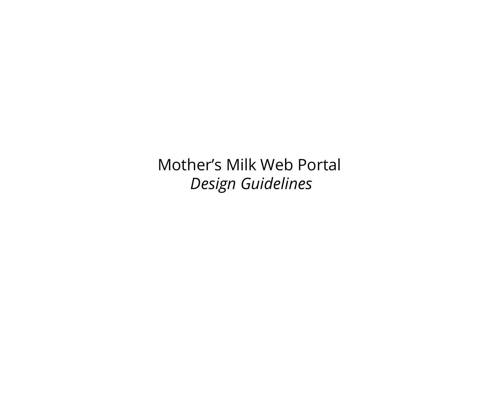Mother's Milk Web Portal *Design Guidelines*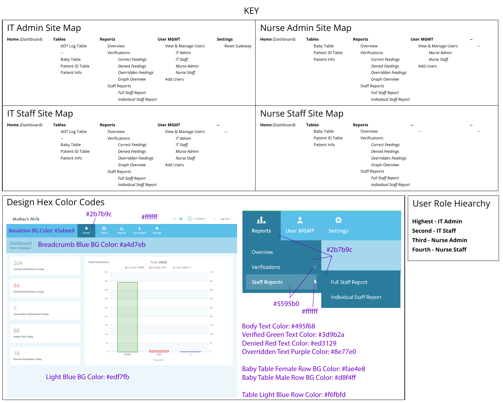Verified Green Text Color: #3d9b2a Denied Red Text Color: #ed3129

### Design Hex Color Codes

|                          | <b>IT Admin Site Map</b>                                                                        |                                                                                                                                                                                                                                        |                                                                                                                   |                                  |                             | Nurse Admin Site Map                                                   |                                                                                                                                                                                                                                        |                                                                                           |       |  |
|--------------------------|-------------------------------------------------------------------------------------------------|----------------------------------------------------------------------------------------------------------------------------------------------------------------------------------------------------------------------------------------|-------------------------------------------------------------------------------------------------------------------|----------------------------------|-----------------------------|------------------------------------------------------------------------|----------------------------------------------------------------------------------------------------------------------------------------------------------------------------------------------------------------------------------------|-------------------------------------------------------------------------------------------|-------|--|
| <b>Home</b> (Dashboard)  | <b>Tables</b><br>ADT Log Table<br>$--$<br><b>Baby Table</b><br>Patient ID Table<br>Patient Info | <b>Reports</b><br>Overview<br>Verifications<br><b>Correct Feedings</b><br><b>Denied Feedings</b><br>Overridden Feedings<br>Graph Overview<br><b>Staff Reports</b><br>Full Staff Report<br><b>Individual Staff Report</b>               | <b>User MGMT</b><br>View & Manage Users<br>IT Admin<br>IT Staff<br>Murse Admin<br><b>Nurse Staff</b><br>Add Users | <b>Settings</b><br>Reset Gateway | <b>Home</b> (Dashboard)     | <b>Tables</b><br><b>Baby Table</b><br>Patient ID Table<br>Patient Info | <b>Reports</b><br>Overview<br>Verifications<br><b>Correct Feedings</b><br><b>Denied Feedings</b><br>Overridden Feedings<br>Graph Overview<br><b>Staff Reports</b><br><b>Full Staff Report</b><br><b>Individual Staff Report</b>        | <b>User MGMT</b><br>View & Manage Users<br>Murse Admin<br><b>Nurse Staff</b><br>Add Users | $--$  |  |
| <b>IT Staff Site Map</b> |                                                                                                 |                                                                                                                                                                                                                                        |                                                                                                                   |                                  | <b>Nurse Staff Site Map</b> |                                                                        |                                                                                                                                                                                                                                        |                                                                                           |       |  |
| Home (Dashboard)         | <b>Tables</b><br>ADT Log Table<br>$- -$<br>Baby Table<br>Patient ID Table<br>Patient Info       | <b>Reports</b><br>Overview<br>Verifications<br><b>Correct Feedings</b><br><b>Denied Feedings</b><br>Overridden Feedings<br><b>Graph Overview</b><br><b>Staff Reports</b><br><b>Full Staff Report</b><br><b>Individual Staff Report</b> | <b>User MGMT</b><br>View & Manage Users<br>IT Admin<br>IT Staff<br>Murse Admin<br>Nurse Staff<br>Add Users        | $\sim$<br>$--$                   | <b>Home</b> (Dashboard)     | <b>Tables</b><br><b>Baby Table</b><br>Patient ID Table<br>Patient Info | <b>Reports</b><br>Overview<br>Verifications<br><b>Correct Feedings</b><br><b>Denied Feedings</b><br>Overridden Feedings<br><b>Graph Overview</b><br><b>Staff Reports</b><br><b>Full Staff Report</b><br><b>Individual Staff Report</b> | --<br>$- -$                                                                               | $- -$ |  |



Light Blue BG Color: #edf7fb



Table Light Blue Row Color: #f6fbfd

### User Role Hiearchy

### KEY

**Highest - IT Admin Second - IT Staff Third - Nurse Admin Fourth - Nurse Staff**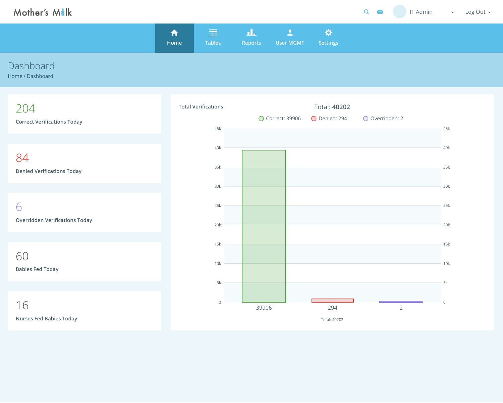| $\Omega$<br>$\checkmark$ | <b>IT Admin</b><br>Log Out ><br>$\mathcal{L}_{\text{max}}$ , where $\mathcal{L}_{\text{max}}$ |  |
|--------------------------|-----------------------------------------------------------------------------------------------|--|
|                          |                                                                                               |  |
|                          |                                                                                               |  |
|                          |                                                                                               |  |
|                          |                                                                                               |  |
| O Overridden: 2          | 45k                                                                                           |  |
|                          | 40k                                                                                           |  |
|                          | 35k                                                                                           |  |
|                          |                                                                                               |  |
|                          | 30k                                                                                           |  |
|                          | 25k                                                                                           |  |
|                          | 20k                                                                                           |  |
|                          | 15k                                                                                           |  |
|                          | 10k                                                                                           |  |
|                          | $5\mathsf{k}$                                                                                 |  |
| $\overline{2}$           | $\overline{0}$                                                                                |  |



Home / Dashboard

|           | <b>A</b><br>Home | 目<br><b>Tables</b> | ᅟᆚᇿ<br><b>Reports</b> | <b>STATE</b><br><b>User MGMT</b> | <b>ROHI</b><br><b>Settings</b> |  |
|-----------|------------------|--------------------|-----------------------|----------------------------------|--------------------------------|--|
| Dashboard |                  |                    |                       |                                  |                                |  |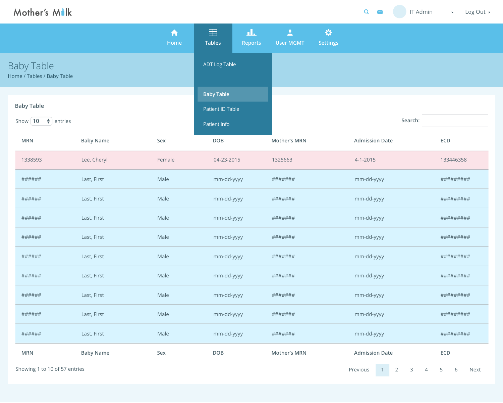| Mother's Milk                                                             |                  |                          |                                                       |                                              | $\overline{Q}$<br><b>IT Admin</b> | Log Out ><br>$\blacktriangledown$ |  |
|---------------------------------------------------------------------------|------------------|--------------------------|-------------------------------------------------------|----------------------------------------------|-----------------------------------|-----------------------------------|--|
|                                                                           |                  | $\blacktriangle$<br>Home | 田<br>ala<br><b>Tables</b><br><b>Reports</b>           | $\overline{\phantom{a}}$<br><b>User MGMT</b> | ☆<br><b>Settings</b>              |                                   |  |
| <b>Baby Table</b><br>Home / Tables / Baby Table                           |                  |                          | <b>ADT Log Table</b>                                  |                                              |                                   |                                   |  |
| <b>Baby Table</b><br>Show $\begin{pmatrix} 10 \\ + \end{pmatrix}$ entries |                  |                          | <b>Baby Table</b><br>Patient ID Table<br>Patient Info |                                              | Search:                           |                                   |  |
| <b>MRN</b>                                                                | <b>Baby Name</b> | Sex                      | <b>DOB</b>                                            | <b>Mother's MRN</b>                          | <b>Admission Date</b>             | <b>ECD</b>                        |  |
| 1338593                                                                   | Lee, Cheryl      | Female                   | 04-23-2015                                            | 1325663                                      | $4 - 1 - 2015$                    | 133446358                         |  |
| ######                                                                    | Last, First      | Male                     | mm-dd-yyyy                                            | #######                                      | mm-dd-yyyy                        | #########                         |  |
| ######                                                                    | Last, First      | Male                     | mm-dd-yyyy                                            | #######                                      | mm-dd-yyyy                        | #########                         |  |
| ######                                                                    | Last, First      | Male                     | mm-dd-yyyy                                            | #######                                      | mm-dd-yyyy                        | #########                         |  |
| ######                                                                    | Last, First      | Male                     | mm-dd-yyyy                                            | #######                                      | mm-dd-yyyy                        | #########                         |  |
| ######                                                                    | Last, First      | Male                     | mm-dd-yyyy                                            | #######                                      | mm-dd-yyyy                        | #########                         |  |
| ######                                                                    | Last, First      | Male                     | mm-dd-yyyy                                            | #######                                      | mm-dd-yyyy                        | #########                         |  |
| ######                                                                    | Last, First      | Male                     | mm-dd-yyyy                                            | #######                                      | mm-dd-yyyy                        | ##########                        |  |
| ######                                                                    | Last, First      | Male                     | mm-dd-yyyy                                            | #######                                      | mm-dd-yyyy                        | #########                         |  |
| ######                                                                    | Last, First      | Male                     | mm-dd-yyyy                                            | #######                                      | mm-dd-yyyy                        | ##########                        |  |
| <b>MRN</b>                                                                | <b>Baby Name</b> | Sex                      | <b>DOB</b>                                            | <b>Mother's MRN</b>                          | <b>Admission Date</b>             | ECD                               |  |
| Showing 1 to 10 of 57 entries                                             |                  |                          |                                                       |                                              | 1 2 3 4 5 6 Next<br>Previous      |                                   |  |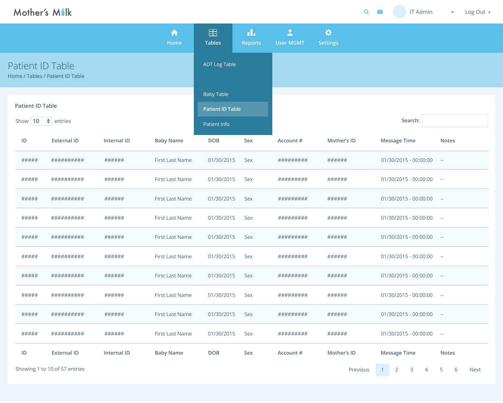| Mother's Malk                                        |                                                      |             |                  |                         |                       |                                              | Q                    | $\geq$ | IT Admin                                | $\blacktriangledown$ | Log Out ▶ |
|------------------------------------------------------|------------------------------------------------------|-------------|------------------|-------------------------|-----------------------|----------------------------------------------|----------------------|--------|-----------------------------------------|----------------------|-----------|
|                                                      |                                                      |             | A<br>Home        | 噩<br><b>Tables</b>      | ala<br><b>Reports</b> | $\overline{\phantom{a}}$<br><b>User MGMT</b> | ☆<br><b>Settings</b> |        |                                         |                      |           |
|                                                      | Patient ID Table<br>Home / Tables / Patient ID Table |             |                  | <b>ADT Log Table</b>    |                       |                                              |                      |        |                                         |                      |           |
|                                                      |                                                      |             |                  | <b>Baby Table</b>       |                       |                                              |                      |        |                                         |                      |           |
| <b>Patient ID Table</b>                              |                                                      |             |                  | <b>Patient ID Table</b> |                       |                                              |                      |        |                                         |                      |           |
| Show $\begin{pmatrix} 10 \\ + \end{pmatrix}$ entries |                                                      |             |                  | Patient Info            |                       |                                              |                      |        | Search:                                 |                      |           |
| ID                                                   | <b>External ID</b>                                   | Internal ID | <b>Baby Name</b> | <b>DOB</b>              | Sex                   | <b>Account #</b>                             | Mother's ID          |        | <b>Message Time</b>                     | <b>Notes</b>         |           |
| #####                                                | ##########                                           | ######      | First Last Name  | 01/30/2015              | Sex                   | #########                                    | ######               |        | 01/30/2015 - 00:00:00                   | $\sim$ $-$           |           |
| #####                                                | ##########                                           | ######      | First Last Name  | 01/30/2015              | Sex                   | #########                                    | ######               |        | $01/30/2015 - 00:00:00$ --              |                      |           |
| #####                                                | ##########                                           | ######      | First Last Name  | 01/30/2015              | Sex                   | #########                                    | ######               |        | $01/30/2015 - 00:00:00$ --              |                      |           |
| #####                                                | ##########                                           | ######      | First Last Name  | 01/30/2015              | Sex                   | #########                                    | ######               |        | 01/30/2015 - 00:00:00                   | $\sim$ $ -$          |           |
| #####                                                | ##########                                           | ######      | First Last Name  | 01/30/2015              | Sex                   | #########                                    | ######               |        | 01/30/2015 - 00:00:00                   | $\sim$ $ \sim$       |           |
| #####                                                | ##########                                           | ######      | First Last Name  | 01/30/2015              | Sex                   | #########                                    | ######               |        | 01/30/2015 - 00:00:00                   | $\sim$ $-$           |           |
| #####                                                | ##########                                           | ######      | First Last Name  | 01/30/2015              | Sex                   | #########                                    | ######               |        | 01/30/2015 - 00:00:00                   | $\sim$ $-$           |           |
| #####                                                | ##########                                           | ######      | First Last Name  | 01/30/2015              | Sex                   | #########                                    | ######               |        | 01/30/2015 - 00:00:00                   | $\sim$ $-$           |           |
| #####                                                | ##########                                           | ######      | First Last Name  | 01/30/2015              | Sex                   | #########                                    | ######               |        | 01/30/2015 - 00:00:00                   | $\sim$ $-$           |           |
| #####                                                | ##########                                           | ######      | First Last Name  | 01/30/2015              | Sex                   | #########                                    | ######               |        | 01/30/2015 - 00:00:00                   | $\sim$ $ \sim$       |           |
| ID                                                   | <b>External ID</b>                                   | Internal ID | <b>Baby Name</b> | <b>DOB</b>              | Sex                   | Account #                                    | Mother's ID          |        | <b>Message Time</b>                     | <b>Notes</b>         |           |
|                                                      | Showing 1 to 10 of 57 entries                        |             |                  |                         |                       |                                              | Previous             | 1      | $\overline{2}$<br>$\overline{3}$<br>4 5 | 6                    | Next      |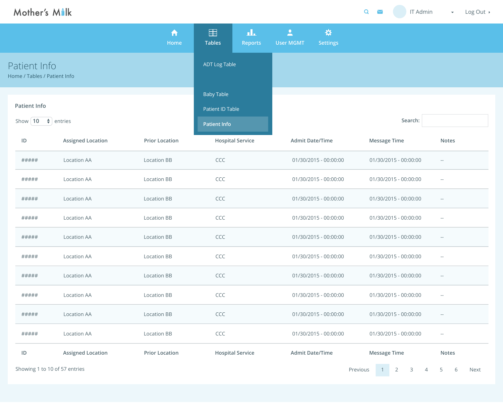| $\overline{Q}$<br><b>IT Admin</b><br>$\blacktriangleright$<br>Log Out ><br>$\mathcal{L}_{\mathcal{A}}$ . |  |
|----------------------------------------------------------------------------------------------------------|--|
|                                                                                                          |  |
|                                                                                                          |  |
|                                                                                                          |  |

# Mother's Milk

|                                                   |                          | A<br>Home             | $\equiv$<br><b>Tables</b>                                    | ᅟᆚ<br><b>Reports</b>    | $\overline{\phantom{a}}$<br><b>User MGMT</b> | ☆<br><b>Settings</b>   |                       |              |
|---------------------------------------------------|--------------------------|-----------------------|--------------------------------------------------------------|-------------------------|----------------------------------------------|------------------------|-----------------------|--------------|
| Patient Info<br>Home / Tables / Patient Info      |                          |                       | <b>ADT Log Table</b>                                         |                         |                                              |                        |                       |              |
| <b>Patient Info</b><br>Show   10 $\div$   entries |                          |                       | <b>Baby Table</b><br>Patient ID Table<br><b>Patient Info</b> |                         |                                              |                        | Search:               |              |
| ID                                                | <b>Assigned Location</b> | <b>Prior Location</b> |                                                              | <b>Hospital Service</b> |                                              | <b>Admit Date/Time</b> | <b>Message Time</b>   | <b>Notes</b> |
| #####                                             | <b>Location AA</b>       | <b>Location BB</b>    | CCC                                                          |                         |                                              | 01/30/2015 - 00:00:00  | 01/30/2015 - 00:00:00 | $--$         |
| #####                                             | <b>Location AA</b>       | <b>Location BB</b>    | CCC                                                          |                         |                                              | 01/30/2015 - 00:00:00  | 01/30/2015 - 00:00:00 | $\sim$ $-$   |
| #####                                             | <b>Location AA</b>       | <b>Location BB</b>    | <b>CCC</b>                                                   |                         |                                              | 01/30/2015 - 00:00:00  | 01/30/2015 - 00:00:00 | $\sim$ $-$   |
| #####                                             | <b>Location AA</b>       | <b>Location BB</b>    | CCC                                                          |                         |                                              | 01/30/2015 - 00:00:00  | 01/30/2015 - 00:00:00 | $--$         |
| #####                                             | <b>Location AA</b>       | <b>Location BB</b>    | CCC                                                          |                         |                                              | 01/30/2015 - 00:00:00  | 01/30/2015 - 00:00:00 | $--$         |
| #####                                             | <b>Location AA</b>       | <b>Location BB</b>    | CCC                                                          |                         |                                              | 01/30/2015 - 00:00:00  | 01/30/2015 - 00:00:00 | $\sim$ $-$   |
| #####                                             | <b>Location AA</b>       | <b>Location BB</b>    | CCC                                                          |                         |                                              | 01/30/2015 - 00:00:00  | 01/30/2015 - 00:00:00 | $--$         |
| #####                                             | <b>Location AA</b>       | <b>Location BB</b>    | CCC                                                          |                         |                                              | 01/30/2015 - 00:00:00  | 01/30/2015 - 00:00:00 | $\sim$ $-$   |
| #####                                             | <b>Location AA</b>       | <b>Location BB</b>    | CCC                                                          |                         |                                              | 01/30/2015 - 00:00:00  | 01/30/2015 - 00:00:00 | $\sim$ $-$   |
| #####                                             | <b>Location AA</b>       | <b>Location BB</b>    | CCC                                                          |                         |                                              | 01/30/2015 - 00:00:00  | 01/30/2015 - 00:00:00 | $- -$        |
| ID                                                | <b>Assigned Location</b> | <b>Prior Location</b> |                                                              | <b>Hospital Service</b> |                                              | <b>Admit Date/Time</b> | <b>Message Time</b>   | <b>Notes</b> |

Showing 1 to 10 of 57 entries Pre

| Search:               |              |
|-----------------------|--------------|
| <b>Message Time</b>   | <b>Notes</b> |
| 01/30/2015 - 00:00:00 |              |

| 01/30/2015 - 00:00:00   | -- |
|-------------------------|----|
| $01/30/2015 - 00:00:00$ | -- |

| $01/30/2015 - 00:00:00$ | -- |
|-------------------------|----|

| <b>Message Time</b> |  |               |                |   | <b>Notes</b> |    |             |
|---------------------|--|---------------|----------------|---|--------------|----|-------------|
| evious              |  | $\mathcal{P}$ | $\overline{3}$ | 4 | $5 -$        | h. | <b>Next</b> |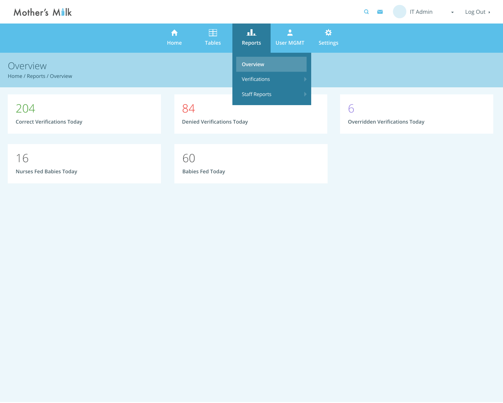| Mother's Milk                             |                     |                                   |                           |                                              |                      | $\mathbf Q$<br><b>IT Admin</b>             | Log Out $\rightarrow$<br>$\blacktriangledown$ |  |
|-------------------------------------------|---------------------|-----------------------------------|---------------------------|----------------------------------------------|----------------------|--------------------------------------------|-----------------------------------------------|--|
|                                           | $\bigwedge$<br>Home | 田<br><b>Tables</b>                | ᅟᆚ<br><b>Reports</b>      | $\overline{\phantom{a}}$<br><b>User MGMT</b> | ☆<br><b>Settings</b> |                                            |                                               |  |
| Overview<br>Home / Reports / Overview     |                     |                                   | Overview<br>Verifications |                                              |                      |                                            |                                               |  |
| 204<br><b>Correct Verifications Today</b> | 84                  | <b>Denied Verifications Today</b> | <b>Staff Reports</b>      |                                              |                      | 6<br><b>Overridden Verifications Today</b> |                                               |  |
| 16<br><b>Nurses Fed Babies Today</b>      | 60                  | <b>Babies Fed Today</b>           |                           |                                              |                      |                                            |                                               |  |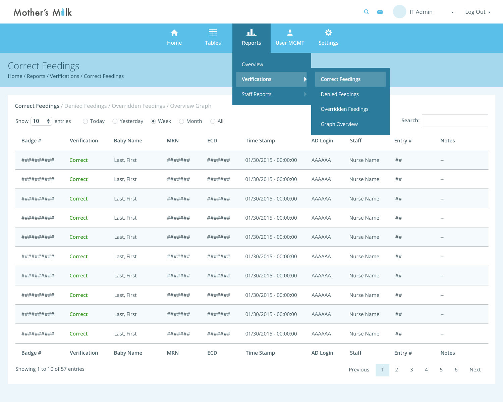| Mother's Milk                                                                                                                                                                                                            |                |                  |                      |                    |                                  |                                                                                          |                         | Q<br>$\blacktriangledown$ | <b>IT Admin</b>          | Log Out<br>$\blacktriangledown$                |
|--------------------------------------------------------------------------------------------------------------------------------------------------------------------------------------------------------------------------|----------------|------------------|----------------------|--------------------|----------------------------------|------------------------------------------------------------------------------------------|-------------------------|---------------------------|--------------------------|------------------------------------------------|
|                                                                                                                                                                                                                          |                |                  | A<br>Home            | 田<br><b>Tables</b> | ıĿ<br><b>Reports</b>             | $\mathbf{L}$<br><b>User MGMT</b>                                                         | ☆<br><b>Settings</b>    |                           |                          |                                                |
| <b>Correct Feedings</b><br>Home / Reports / Verifications / Correct Feedings                                                                                                                                             |                |                  |                      |                    | Overview<br><b>Verifications</b> |                                                                                          | <b>Correct Feedings</b> |                           |                          |                                                |
| <b>Correct Feedings</b> / Denied Feedings / Overridden Feedings / Overview Graph<br>○ Yesterday<br>Show $ 10 $<br>$\parallel \bigstar \parallel$ entries<br>$\bullet$ Week $\circ$ Month $\circ$ All<br>$\bigcirc$ Today |                |                  | <b>Staff Reports</b> |                    |                                  | <b>Denied Feedings</b><br><b>Overridden Feedings</b><br>Search:<br><b>Graph Overview</b> |                         |                           |                          |                                                |
| Badge #                                                                                                                                                                                                                  | Verification   | <b>Baby Name</b> | <b>MRN</b>           | <b>ECD</b>         | <b>Time Stamp</b>                |                                                                                          | <b>AD Login</b>         | <b>Staff</b>              | Entry #                  | <b>Notes</b>                                   |
| ##########                                                                                                                                                                                                               | <b>Correct</b> | Last, First      | #######              | #######            |                                  | 01/30/2015 - 00:00:00                                                                    | <b>AAAAAA</b>           | Nurse Name                | ##                       | $- -$                                          |
| ##########                                                                                                                                                                                                               | <b>Correct</b> | Last, First      | #######              | #######            |                                  | 01/30/2015 - 00:00:00                                                                    | <b>AAAAAA</b>           | Nurse Name                | ##                       | $- -$                                          |
| ##########                                                                                                                                                                                                               | <b>Correct</b> | Last, First      | #######              | #######            |                                  | 01/30/2015 - 00:00:00                                                                    | <b>AAAAAA</b>           | Nurse Name                | ##                       | $- -$                                          |
| ##########                                                                                                                                                                                                               | <b>Correct</b> | Last, First      | #######              | #######            |                                  | 01/30/2015 - 00:00:00                                                                    | <b>AAAAAA</b>           | Nurse Name                | ##                       | $\hspace{0.1mm}-\hspace{0.1mm}-\hspace{0.1mm}$ |
| ##########                                                                                                                                                                                                               | <b>Correct</b> | Last, First      | #######              | #######            |                                  | 01/30/2015 - 00:00:00                                                                    | <b>AAAAAA</b>           | <b>Nurse Name</b>         | ##                       | $- -$                                          |
| ##########                                                                                                                                                                                                               | <b>Correct</b> | Last, First      | #######              | #######            |                                  | 01/30/2015 - 00:00:00                                                                    | <b>AAAAAA</b>           | Nurse Name                | ##                       | $- -$                                          |
| ##########                                                                                                                                                                                                               | <b>Correct</b> | Last, First      | #######              | #######            |                                  | 01/30/2015 - 00:00:00                                                                    | <b>AAAAAA</b>           | Nurse Name                | ##                       | $\sim$ $-$                                     |
| ##########                                                                                                                                                                                                               | <b>Correct</b> | Last, First      | #######              | #######            |                                  | 01/30/2015 - 00:00:00                                                                    | <b>AAAAAA</b>           | Nurse Name                | ##                       | $- -$                                          |
| ##########                                                                                                                                                                                                               | <b>Correct</b> | Last, First      | #######              | #######            |                                  | 01/30/2015 - 00:00:00                                                                    | <b>AAAAAA</b>           | Nurse Name                | ##                       | $- -$                                          |
| ##########                                                                                                                                                                                                               | <b>Correct</b> | Last, First      | #######              | #######            |                                  | 01/30/2015 - 00:00:00                                                                    | <b>AAAAAA</b>           | Nurse Name                | ##                       | $- -$                                          |
| Badge #                                                                                                                                                                                                                  | Verification   | <b>Baby Name</b> | <b>MRN</b>           | ECD                | <b>Time Stamp</b>                |                                                                                          | <b>AD Login</b>         | <b>Staff</b>              | Entry #                  | <b>Notes</b>                                   |
| Showing 1 to 10 of 57 entries                                                                                                                                                                                            |                |                  |                      |                    |                                  |                                                                                          |                         | Previous<br>$1 -$         | $\overline{2}$<br>3<br>4 | 5<br>6<br>Next                                 |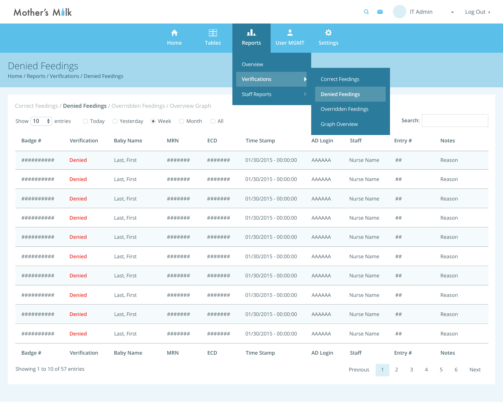| Mother's Malk                                                                                                                                                                          |               |                      |                     |                    |                                                                                          |                                              |                         | Q<br>$\blacktriangleright$         | <b>IT Admin</b>                       | $\blacktriangledown$ | Log Out ▶ |
|----------------------------------------------------------------------------------------------------------------------------------------------------------------------------------------|---------------|----------------------|---------------------|--------------------|------------------------------------------------------------------------------------------|----------------------------------------------|-------------------------|------------------------------------|---------------------------------------|----------------------|-----------|
|                                                                                                                                                                                        |               |                      | $\bigwedge$<br>Home | 田<br><b>Tables</b> | ıL<br><b>Reports</b>                                                                     | $\overline{\phantom{a}}$<br><b>User MGMT</b> | ☆<br><b>Settings</b>    |                                    |                                       |                      |           |
| Denied Feedings<br>Home / Reports / Verifications / Denied Feedings                                                                                                                    |               |                      |                     |                    | Overview<br><b>Verifications</b>                                                         |                                              | <b>Correct Feedings</b> |                                    |                                       |                      |           |
| Correct Feedings / Denied Feedings / Overridden Feedings / Overview Graph<br>Show   10 $\div$   entries<br>○ Yesterday<br>$\bullet$ Week $\circ$ Month $\circ$ All<br>$\bigcirc$ Today |               | <b>Staff Reports</b> |                     |                    | <b>Denied Feedings</b><br><b>Overridden Feedings</b><br>Search:<br><b>Graph Overview</b> |                                              |                         |                                    |                                       |                      |           |
| Badge #                                                                                                                                                                                | Verification  | <b>Baby Name</b>     | <b>MRN</b>          | <b>ECD</b>         | <b>Time Stamp</b>                                                                        |                                              | <b>AD Login</b>         | <b>Staff</b>                       | Entry #                               | <b>Notes</b>         |           |
| ##########                                                                                                                                                                             | <b>Denied</b> | Last, First          | #######             | #######            |                                                                                          | 01/30/2015 - 00:00:00                        | <b>AAAAAA</b>           | Nurse Name                         | ##                                    | Reason               |           |
| ##########                                                                                                                                                                             | <b>Denied</b> | Last, First          | #######             | #######            |                                                                                          | 01/30/2015 - 00:00:00                        | <b>AAAAAA</b>           | Nurse Name                         | ##                                    | Reason               |           |
| ##########                                                                                                                                                                             | <b>Denied</b> | Last, First          | #######             | #######            |                                                                                          | 01/30/2015 - 00:00:00                        | <b>AAAAAA</b>           | Nurse Name                         | ##                                    | Reason               |           |
| ##########                                                                                                                                                                             | <b>Denied</b> | Last, First          | #######             | #######            |                                                                                          | 01/30/2015 - 00:00:00                        | <b>AAAAAA</b>           | Nurse Name                         | ##                                    | Reason               |           |
| ##########                                                                                                                                                                             | <b>Denied</b> | Last, First          | #######             | #######            |                                                                                          | 01/30/2015 - 00:00:00                        | <b>AAAAAA</b>           | <b>Nurse Name</b>                  | ##                                    | Reason               |           |
| ##########                                                                                                                                                                             | <b>Denied</b> | Last, First          | #######             | #######            |                                                                                          | 01/30/2015 - 00:00:00                        | <b>AAAAAA</b>           | Nurse Name                         | ##                                    | Reason               |           |
| ##########                                                                                                                                                                             | <b>Denied</b> | Last, First          | #######             | #######            |                                                                                          | 01/30/2015 - 00:00:00                        | <b>AAAAAA</b>           | Nurse Name                         | ##                                    | Reason               |           |
| ##########                                                                                                                                                                             | <b>Denied</b> | Last, First          | #######             | #######            |                                                                                          | 01/30/2015 - 00:00:00                        | <b>AAAAAA</b>           | Nurse Name                         | ##                                    | Reason               |           |
| ##########                                                                                                                                                                             | <b>Denied</b> | Last, First          | #######             | #######            |                                                                                          | 01/30/2015 - 00:00:00                        | <b>AAAAAA</b>           | Nurse Name                         | ##                                    | Reason               |           |
| ##########                                                                                                                                                                             | <b>Denied</b> | Last, First          | #######             | #######            |                                                                                          | 01/30/2015 - 00:00:00                        | <b>AAAAAA</b>           | Nurse Name                         | ##                                    | Reason               |           |
| Badge #                                                                                                                                                                                | Verification  | <b>Baby Name</b>     | <b>MRN</b>          | <b>ECD</b>         | <b>Time Stamp</b>                                                                        |                                              | <b>AD Login</b>         | <b>Staff</b>                       | Entry #                               | <b>Notes</b>         |           |
| Showing 1 to 10 of 57 entries                                                                                                                                                          |               |                      |                     |                    |                                                                                          |                                              |                         | Previous<br>$\left  \cdot \right $ | $\overline{2}$<br>3<br>$\overline{4}$ | 5<br>6               | Next      |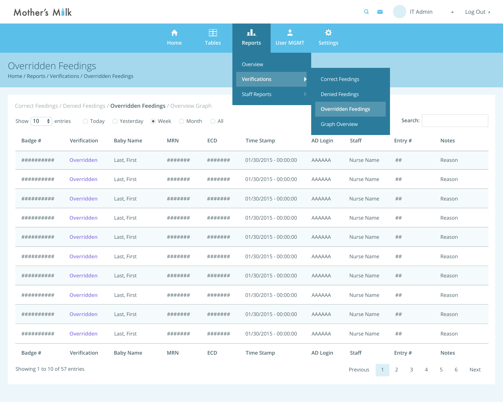| Mother's Milk                                                             |                  |                      |                      |                      |                         |                                              |                       | $\mathbf Q$<br>$\triangleright$ | IT Admin                                         | Log Out<br>$\blacktriangledown$ |
|---------------------------------------------------------------------------|------------------|----------------------|----------------------|----------------------|-------------------------|----------------------------------------------|-----------------------|---------------------------------|--------------------------------------------------|---------------------------------|
|                                                                           |                  |                      | A<br>Home            | 田<br><b>Tables</b>   | ıL<br><b>Reports</b>    | $\overline{\phantom{a}}$<br><b>User MGMT</b> | ☆<br><b>Settings</b>  |                                 |                                                  |                                 |
| Overridden Feedings                                                       |                  |                      |                      |                      | Overview                |                                              |                       |                                 |                                                  |                                 |
| Home / Reports / Verifications / Overridden Feedings                      |                  |                      | <b>Verifications</b> |                      | <b>Correct Feedings</b> |                                              |                       |                                 |                                                  |                                 |
|                                                                           |                  |                      |                      | <b>Staff Reports</b> |                         | <b>Denied Feedings</b>                       |                       |                                 |                                                  |                                 |
| Correct Feedings / Denied Feedings / Overridden Feedings / Overview Graph |                  |                      |                      |                      |                         | <b>Overridden Feedings</b>                   |                       |                                 |                                                  |                                 |
| Show $10$<br>$\rightarrow$   entries                                      | $\bigcirc$ Today | $\bigcirc$ Yesterday | ● Week<br>◯ Month    | $\bigcirc$ All       |                         |                                              | <b>Graph Overview</b> |                                 | Search:                                          |                                 |
| Badge #                                                                   | Verification     | <b>Baby Name</b>     | <b>MRN</b>           | <b>ECD</b>           | <b>Time Stamp</b>       |                                              | <b>AD Login</b>       | <b>Staff</b>                    | Entry #                                          | <b>Notes</b>                    |
| ##########                                                                | Overridden       | Last, First          | #######              | #######              |                         | 01/30/2015 - 00:00:00                        | <b>AAAAAA</b>         | <b>Nurse Name</b>               | ##                                               | Reason                          |
| ##########                                                                | Overridden       | Last, First          | #######              | #######              |                         | 01/30/2015 - 00:00:00                        | <b>AAAAAA</b>         | <b>Nurse Name</b>               | ##                                               | Reason                          |
| ##########                                                                | Overridden       | Last, First          | #######              | #######              |                         | 01/30/2015 - 00:00:00                        | <b>AAAAAA</b>         | <b>Nurse Name</b>               | ##                                               | Reason                          |
| ##########                                                                | Overridden       | Last, First          | #######              | #######              |                         | 01/30/2015 - 00:00:00                        | <b>AAAAAA</b>         | Nurse Name                      | ##                                               | Reason                          |
| ##########                                                                | Overridden       | Last, First          | #######              | #######              |                         | 01/30/2015 - 00:00:00                        | <b>AAAAAA</b>         | Nurse Name                      | ##                                               | Reason                          |
| ##########                                                                | Overridden       | Last, First          | #######              | #######              |                         | 01/30/2015 - 00:00:00                        | <b>AAAAAA</b>         | Nurse Name                      | ##                                               | Reason                          |
| ##########                                                                | Overridden       | Last, First          | #######              | #######              |                         | 01/30/2015 - 00:00:00                        | <b>AAAAAA</b>         | <b>Nurse Name</b>               | ##                                               | Reason                          |
| ##########                                                                | Overridden       | Last, First          | #######              | #######              |                         | 01/30/2015 - 00:00:00                        | <b>AAAAAA</b>         | <b>Nurse Name</b>               | ##                                               | Reason                          |
| ###########                                                               | Overridden       | Last, First          | #######              | #######              |                         | 01/30/2015 - 00:00:00                        | <b>AAAAAA</b>         | Nurse Name                      | ##                                               | Reason                          |
| ##########                                                                | Overridden       | Last, First          | #######              | #######              |                         | 01/30/2015 - 00:00:00                        | <b>AAAAAA</b>         | <b>Nurse Name</b>               | ##                                               | Reason                          |
| Badge #                                                                   | Verification     | <b>Baby Name</b>     | <b>MRN</b>           | <b>ECD</b>           | <b>Time Stamp</b>       |                                              | <b>AD Login</b>       | <b>Staff</b>                    | Entry #                                          | <b>Notes</b>                    |
| Showing 1 to 10 of 57 entries                                             |                  |                      |                      |                      |                         |                                              |                       | Previous                        | $\overline{2}$<br>$\mathsf{3}$<br>$\overline{4}$ | 5 <sup>5</sup><br>Next<br>6     |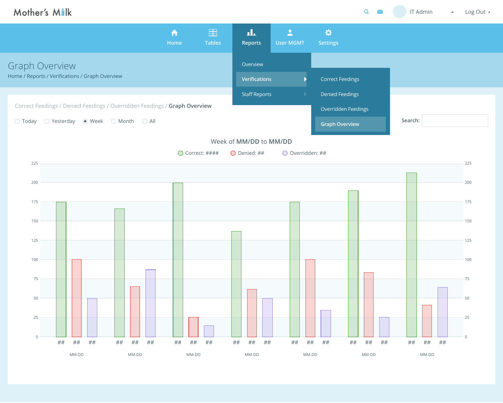| Mother's Milk         |                                                                                                                                                   |                          |                     |                          |                           |                                  |                                                                        | $\overline{Q}$<br>$\triangleright$ | <b>IT Admin</b> | Log Out $\rightarrow$<br>$\blacktriangledown$ . |
|-----------------------|---------------------------------------------------------------------------------------------------------------------------------------------------|--------------------------|---------------------|--------------------------|---------------------------|----------------------------------|------------------------------------------------------------------------|------------------------------------|-----------------|-------------------------------------------------|
|                       |                                                                                                                                                   |                          | $\bigwedge$<br>Home | 田<br><b>Tables</b>       | ak.<br><b>Reports</b>     | $\mathbf{L}$<br><b>User MGMT</b> | ☆<br><b>Settings</b>                                                   |                                    |                 |                                                 |
| <b>Graph Overview</b> | Home / Reports / Verifications / Graph Overview                                                                                                   |                          |                     |                          | Overview<br>Verifications |                                  | <b>Correct Feedings</b>                                                |                                    |                 |                                                 |
| $\bigcirc$ Today      | Correct Feedings / Denied Feedings / Overridden Feedings / Graph Overview<br>$\bigcirc$ Yesterday $\bigcirc$ Week $\bigcirc$ Month $\bigcirc$ All |                          |                     |                          | <b>Staff Reports</b>      |                                  | <b>Denied Feedings</b><br>Overridden Feedings<br><b>Graph Overview</b> |                                    | Search:         |                                                 |
|                       |                                                                                                                                                   |                          |                     |                          | Week of MM/DD to MM/DD    |                                  |                                                                        |                                    |                 |                                                 |
|                       |                                                                                                                                                   |                          |                     | $\bigcirc$ Correct: #### | O Denied: ##              | $\bigcirc$ Overridden: ##        |                                                                        |                                    |                 |                                                 |
| 225                   |                                                                                                                                                   |                          |                     |                          |                           |                                  |                                                                        |                                    |                 | 225                                             |
| 200                   |                                                                                                                                                   |                          |                     |                          |                           |                                  |                                                                        |                                    |                 | 200                                             |
| 175                   |                                                                                                                                                   |                          |                     |                          |                           |                                  |                                                                        |                                    |                 | 175                                             |
| 150                   |                                                                                                                                                   |                          |                     |                          |                           |                                  |                                                                        |                                    |                 | 150                                             |
| 125                   |                                                                                                                                                   |                          |                     |                          |                           |                                  |                                                                        |                                    |                 | 125                                             |
| 100                   |                                                                                                                                                   |                          |                     |                          |                           |                                  |                                                                        |                                    |                 | 100                                             |
| 75                    |                                                                                                                                                   |                          |                     |                          |                           |                                  |                                                                        |                                    |                 | 75                                              |
| 50                    |                                                                                                                                                   |                          |                     |                          |                           |                                  |                                                                        |                                    |                 | 50                                              |
| 25                    |                                                                                                                                                   |                          |                     |                          |                           |                                  |                                                                        |                                    |                 | 25                                              |
| $\overline{0}$        | ##<br>$\# \#$<br>##                                                                                                                               | $\# \#$<br>$\# \#$<br>## | ##<br>##            | $\# \#$                  | ##<br>##<br>##            | ##<br>##                         | $\# \#$<br>##                                                          | ##<br>##                           | ##<br>##<br>##  | $\overline{0}$                                  |
|                       | MM-DD                                                                                                                                             | MM-DD                    | MM-DD               |                          | MM-DD                     | MM-DD                            |                                                                        | MM-DD                              | MM-DD           |                                                 |

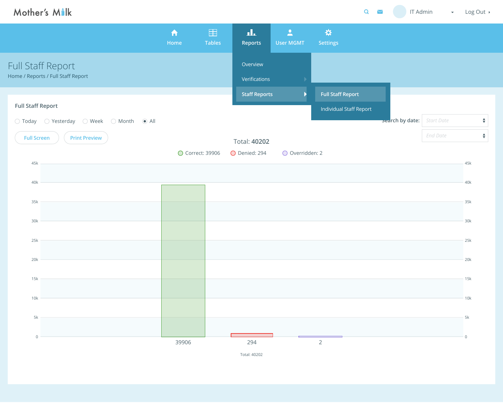| Q        |                                   | IT Admin        | Log Out >         |  |
|----------|-----------------------------------|-----------------|-------------------|--|
|          |                                   |                 |                   |  |
|          |                                   |                 |                   |  |
| ort      |                                   |                 |                   |  |
| f Report | <b>Search by date:</b> Start Date | <b>End Date</b> | $\blacklozenge$   |  |
|          |                                   |                 | $\blacklozenge$   |  |
|          |                                   |                 | 45k<br>$-40k$     |  |
|          |                                   |                 | 35k               |  |
|          |                                   |                 | $-30k$            |  |
|          |                                   |                 | 25k<br>20k        |  |
|          |                                   |                 | 15k               |  |
|          |                                   |                 | 10k               |  |
|          |                                   |                 | 5k<br>$\mathbf 0$ |  |

|                                                         | A<br>Home        | 田<br><b>Tables</b> | ዹ<br>Reports              | $\mathbf{L}$<br>User MGMT | ☆<br><b>Settings</b>     |                 |                   |
|---------------------------------------------------------|------------------|--------------------|---------------------------|---------------------------|--------------------------|-----------------|-------------------|
| Full Staff Report<br>Home / Reports / Full Staff Report |                  |                    | Overview<br>Verifications |                           |                          |                 |                   |
|                                                         |                  |                    | <b>Staff Reports</b>      | $\blacktriangleright$     | <b>Full Staff Report</b> |                 |                   |
| <b>Full Staff Report</b>                                |                  |                    |                           |                           | Individual Staff Report  |                 |                   |
| ○ Today ○ Yesterday ○ Week ○ Month ● All                |                  |                    |                           |                           |                          | search by date: | <b>Start Date</b> |
| <b>Full Screen</b><br><b>Print Preview</b>              |                  |                    | <b>Total: 40202</b>       |                           |                          |                 | <b>End Date</b>   |
|                                                         | ◯ Correct: 39906 |                    | O Denied: 294             | O Overridden: 2           |                          |                 |                   |
| 45k                                                     |                  |                    |                           |                           |                          |                 |                   |
| 40k                                                     |                  |                    |                           |                           |                          |                 |                   |
|                                                         |                  |                    |                           |                           |                          |                 |                   |
| 35k                                                     |                  |                    |                           |                           |                          |                 |                   |
| 30k                                                     |                  |                    |                           |                           |                          |                 |                   |
| 25k                                                     |                  |                    |                           |                           |                          |                 |                   |
|                                                         |                  |                    |                           |                           |                          |                 |                   |
| 20k                                                     |                  |                    |                           |                           |                          |                 |                   |
| 15k                                                     |                  |                    |                           |                           |                          |                 |                   |
| 10k                                                     |                  |                    |                           |                           |                          |                 |                   |
|                                                         |                  |                    |                           |                           |                          |                 |                   |
| 5k                                                      |                  |                    |                           |                           |                          |                 |                   |
| $\overline{0}$                                          |                  |                    |                           |                           |                          |                 |                   |
|                                                         | 39906            |                    | 294<br>Total: 40202       |                           | $\overline{2}$           |                 |                   |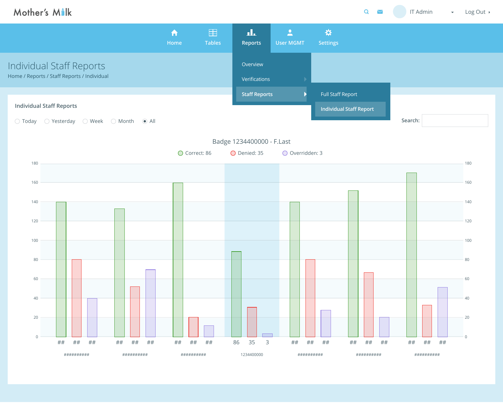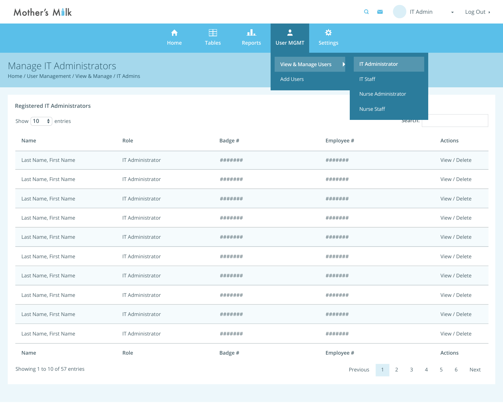### **Registered IT Administrators**

Show | **10**  $\div$  | entries

| <b>Name</b>                   | Role                    | Badge # | Employee #                                                   | <b>Actions</b> |  |  |
|-------------------------------|-------------------------|---------|--------------------------------------------------------------|----------------|--|--|
| Last Name, First Name         | <b>IT Administrator</b> | ####### | #######                                                      | View / Delete  |  |  |
| Last Name, First Name         | <b>IT Administrator</b> | ####### | #######                                                      | View / Delete  |  |  |
| Last Name, First Name         | <b>IT Administrator</b> | ####### | #######                                                      | View / Delete  |  |  |
| Last Name, First Name         | <b>IT Administrator</b> | ####### | #######                                                      | View / Delete  |  |  |
| Last Name, First Name         | <b>IT Administrator</b> | ####### | #######                                                      | View / Delete  |  |  |
| Last Name, First Name         | <b>IT Administrator</b> | ####### | #######                                                      | View / Delete  |  |  |
| Last Name, First Name         | <b>IT Administrator</b> | ####### | #######                                                      | View / Delete  |  |  |
| Last Name, First Name         | <b>IT Administrator</b> | ####### | #######                                                      | View / Delete  |  |  |
| Last Name, First Name         | <b>IT Administrator</b> | ####### | #######                                                      | View / Delete  |  |  |
| Last Name, First Name         | <b>IT Administrator</b> | ####### | #######                                                      | View / Delete  |  |  |
| Name                          | Role                    | Badge # | Employee #                                                   | <b>Actions</b> |  |  |
| Showing 1 to 10 of 57 entries |                         |         | $\overline{2}$<br>Previous<br>$\mathsf{3}$<br>$\overline{4}$ | 5<br>6<br>Next |  |  |



| <b>IT Staff</b>            |  |
|----------------------------|--|
| <b>Nurse Administrator</b> |  |
| <b>Nurse Staff</b>         |  |
| search.                    |  |

|                                                    | A<br>Home | H<br><b>Tables</b> | лL.<br><b>Reports</b> | User MGMT                      | ☆<br><b>Settings</b> |
|----------------------------------------------------|-----------|--------------------|-----------------------|--------------------------------|----------------------|
| Manage IT Administrators                           |           |                    |                       | <b>View &amp; Manage Users</b> |                      |
| Home / User Management / View & Manage / IT Admins |           |                    |                       | <b>Add Users</b>               |                      |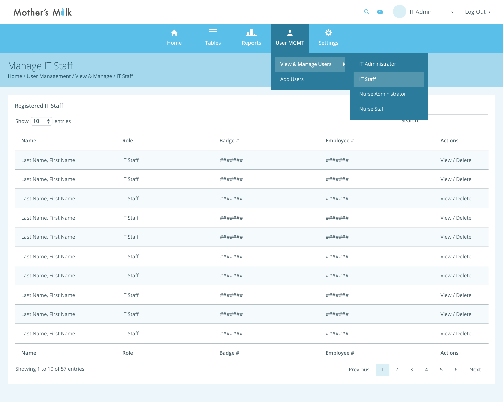### **Registered IT Staff**

Show | **10**  $\div$  | entries

| <b>Name</b>                   | Role            | Badge # | Employee #                                        | <b>Actions</b>               |  |  |
|-------------------------------|-----------------|---------|---------------------------------------------------|------------------------------|--|--|
| Last Name, First Name         | <b>IT Staff</b> | ####### | #######                                           | View / Delete                |  |  |
| Last Name, First Name         | <b>IT Staff</b> | ####### | #######                                           | View / Delete                |  |  |
| Last Name, First Name         | <b>IT Staff</b> | ####### | #######                                           | View / Delete                |  |  |
| Last Name, First Name         | <b>IT Staff</b> | ####### | #######                                           | View / Delete                |  |  |
| Last Name, First Name         | <b>IT Staff</b> | ####### | #######                                           | View / Delete                |  |  |
| Last Name, First Name         | <b>IT Staff</b> | ####### | #######                                           | View / Delete                |  |  |
| Last Name, First Name         | <b>IT Staff</b> | ####### | #######                                           | View / Delete                |  |  |
| Last Name, First Name         | <b>IT Staff</b> | ####### | #######                                           | View / Delete                |  |  |
| Last Name, First Name         | <b>IT Staff</b> | ####### | #######                                           | View / Delete                |  |  |
| Last Name, First Name         | <b>IT Staff</b> | ####### | #######                                           | View / Delete                |  |  |
| Name                          | Role            | Badge # | Employee #                                        | <b>Actions</b>               |  |  |
| Showing 1 to 10 of 57 entries |                 |         | Previous<br>$\overline{2}$<br>3<br>$\overline{4}$ | $5\overline{)}$<br>Next<br>6 |  |  |



| <b>IT Staff</b>     |  |
|---------------------|--|
| Nurse Administrator |  |
| <b>Nurse Staff</b>  |  |
| search.             |  |

|                                                   | fi<br>Home | 臣<br><b>Tables</b> | лЬ<br><b>Reports</b> | $\mathbf{L}$<br><b>User MGMT</b> | ☆<br><b>Settings</b> |
|---------------------------------------------------|------------|--------------------|----------------------|----------------------------------|----------------------|
| Manage IT Staff                                   |            |                    |                      | View & Manage Users              |                      |
| Home / User Management / View & Manage / IT Staff |            |                    |                      | <b>Add Users</b>                 |                      |
|                                                   |            |                    |                      |                                  |                      |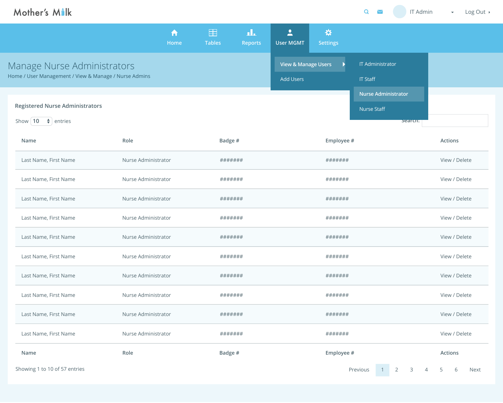### **Registered Nurse Administrators**

Show | **10**  $\div$  | entries

| Name                          | Role                | Badge # | Employee #                                        | <b>Actions</b>               |
|-------------------------------|---------------------|---------|---------------------------------------------------|------------------------------|
| Last Name, First Name         | Nurse Administrator | ####### | #######                                           | View / Delete                |
| Last Name, First Name         | Nurse Administrator | ####### | #######                                           | View / Delete                |
| Last Name, First Name         | Nurse Administrator | ####### | #######                                           | View / Delete                |
| Last Name, First Name         | Nurse Administrator | ####### | #######                                           | View / Delete                |
| Last Name, First Name         | Nurse Administrator | ####### | #######                                           | View / Delete                |
| Last Name, First Name         | Nurse Administrator | ####### | #######                                           | View / Delete                |
| Last Name, First Name         | Nurse Administrator | ####### | #######                                           | View / Delete                |
| Last Name, First Name         | Nurse Administrator | ####### | #######                                           | View / Delete                |
| Last Name, First Name         | Nurse Administrator | ####### | #######                                           | View / Delete                |
| Last Name, First Name         | Nurse Administrator | ####### | #######                                           | View / Delete                |
| Name                          | Role                | Badge # | Employee #                                        | <b>Actions</b>               |
| Showing 1 to 10 of 57 entries |                     |         | $\overline{2}$<br>3<br>Previous<br>$\overline{4}$ | $5\overline{)}$<br>6<br>Next |

| <b>IT Administrator</b>    |  |
|----------------------------|--|
| <b>IT Staff</b>            |  |
| <b>Nurse Administrator</b> |  |
| <b>Nurse Staff</b>         |  |
| bear                       |  |

| A<br><b>Home</b> | Ħ<br><b>Tables</b> | п.<br><b>Reports</b> | <b>User MGMT</b> | ☆<br><b>Settings</b> |                                |
|------------------|--------------------|----------------------|------------------|----------------------|--------------------------------|
|                  |                    |                      |                  |                      |                                |
|                  |                    |                      | <b>Add Users</b> |                      |                                |
|                  |                    |                      |                  |                      | <b>View &amp; Manage Users</b> |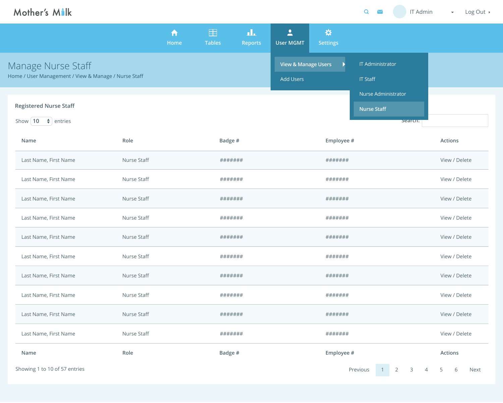

### **Registered Nurse Staff**

Show | **10**  $\div$  | entries

| <b>Name</b>                   | Role        | Badge # | Employee #                                                   | <b>Actions</b>               |
|-------------------------------|-------------|---------|--------------------------------------------------------------|------------------------------|
| Last Name, First Name         | Nurse Staff | ####### | #######                                                      | View / Delete                |
| Last Name, First Name         | Nurse Staff | ####### | #######                                                      | View / Delete                |
| Last Name, First Name         | Nurse Staff | ####### | #######                                                      | View / Delete                |
| Last Name, First Name         | Nurse Staff | ####### | ########                                                     | View / Delete                |
| Last Name, First Name         | Nurse Staff | ####### | #######                                                      | View / Delete                |
| Last Name, First Name         | Nurse Staff | ####### | #######                                                      | View / Delete                |
| Last Name, First Name         | Nurse Staff | ####### | #######                                                      | View / Delete                |
| Last Name, First Name         | Nurse Staff | ####### | #######                                                      | View / Delete                |
| Last Name, First Name         | Nurse Staff | ####### | #######                                                      | View / Delete                |
| Last Name, First Name         | Nurse Staff | ####### | #######                                                      | View / Delete                |
| Name                          | Role        | Badge # | Employee #                                                   | <b>Actions</b>               |
| Showing 1 to 10 of 57 entries |             |         | Previous<br>$\overline{2}$<br>$\mathsf{3}$<br>$\overline{4}$ | $5\overline{)}$<br>6<br>Next |

| <b>IT Administrator</b>    |  |
|----------------------------|--|
| <b>IT Staff</b>            |  |
| <b>Nurse Administrator</b> |  |
| <b>Nurse Staff</b>         |  |
| search.                    |  |

|                                                      | fi<br>Home | Ħ<br><b>Tables</b> | ПL.<br><b>Reports</b> | <b>User MGMT</b>               | ☆<br><b>Settings</b> |
|------------------------------------------------------|------------|--------------------|-----------------------|--------------------------------|----------------------|
| Manage Nurse Staff                                   |            |                    |                       | <b>View &amp; Manage Users</b> |                      |
| Home / User Management / View & Manage / Nurse Staff |            |                    |                       | <b>Add Users</b>               |                      |
|                                                      |            |                    |                       |                                |                      |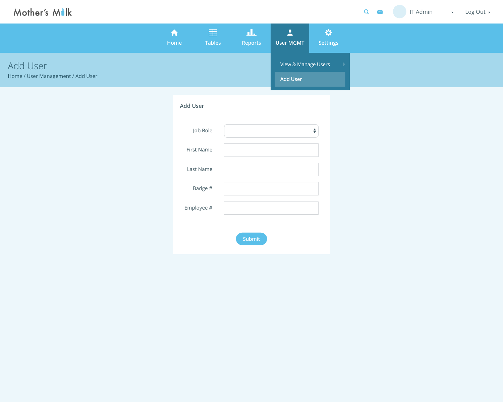| $\overline{Q}$<br>$\sum$ | <b>IT Admin</b> | $\mathcal{L}(\mathbf{w})$ | Log Out $\rightarrow$ |
|--------------------------|-----------------|---------------------------|-----------------------|
|                          |                 |                           |                       |
|                          |                 |                           |                       |
|                          |                 |                           |                       |



| <b>Add User</b>   |               |
|-------------------|---------------|
| Job Role          | ♦             |
| <b>First Name</b> |               |
| <b>Last Name</b>  |               |
| Badge #           |               |
| Employee #        |               |
|                   | <b>Submit</b> |